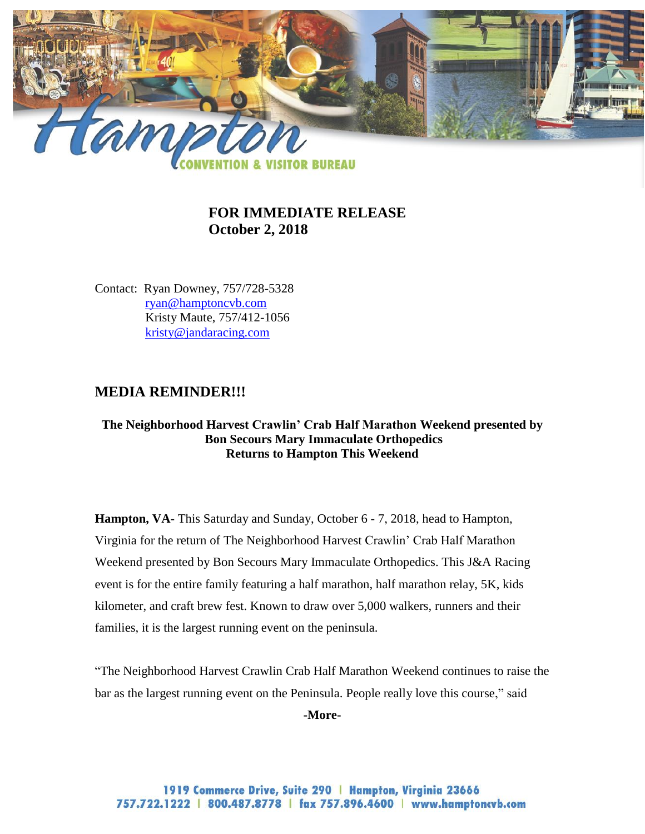

# **FOR IMMEDIATE RELEASE October 2, 2018**

Contact: Ryan Downey, 757/728-5328 [ryan@hamptoncvb.com](mailto:ryan@hamptoncvb.com) Kristy Maute, 757/412-1056 [kristy@jandaracing.com](mailto:Brittany@jandaracing.com)

## **MEDIA REMINDER!!!**

#### **The Neighborhood Harvest Crawlin' Crab Half Marathon Weekend presented by Bon Secours Mary Immaculate Orthopedics Returns to Hampton This Weekend**

**Hampton, VA-** This Saturday and Sunday, October 6 - 7, 2018, head to Hampton, Virginia for the return of The Neighborhood Harvest Crawlin' Crab Half Marathon Weekend presented by Bon Secours Mary Immaculate Orthopedics. This J&A Racing event is for the entire family featuring a half marathon, half marathon relay, 5K, kids kilometer, and craft brew fest. Known to draw over 5,000 walkers, runners and their families, it is the largest running event on the peninsula.

"The Neighborhood Harvest Crawlin Crab Half Marathon Weekend continues to raise the bar as the largest running event on the Peninsula. People really love this course," said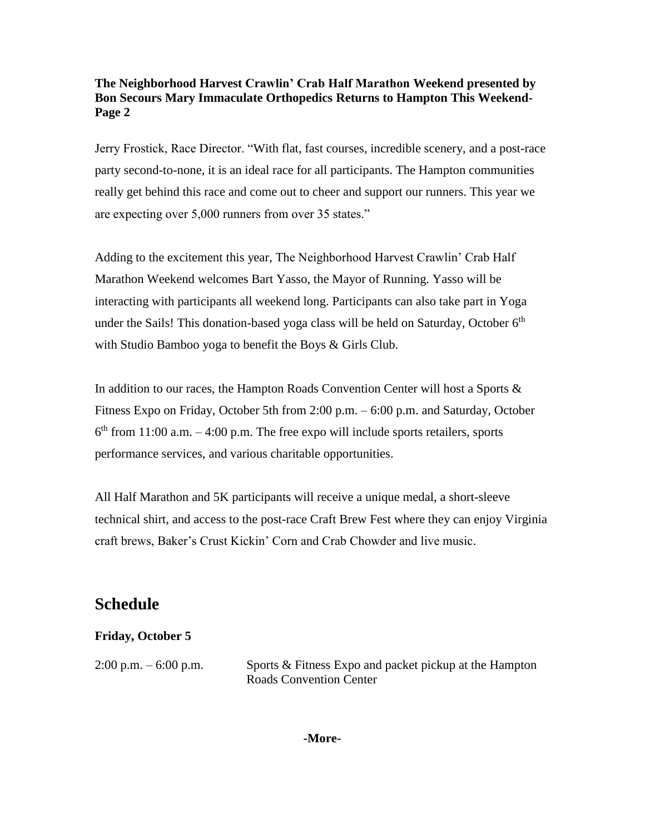Jerry Frostick, Race Director. "With flat, fast courses, incredible scenery, and a post-race party second-to-none, it is an ideal race for all participants. The Hampton communities really get behind this race and come out to cheer and support our runners. This year we are expecting over 5,000 runners from over 35 states."

Adding to the excitement this year, The Neighborhood Harvest Crawlin' Crab Half Marathon Weekend welcomes Bart Yasso, the Mayor of Running. Yasso will be interacting with participants all weekend long. Participants can also take part in Yoga under the Sails! This donation-based yoga class will be held on Saturday, October  $6<sup>th</sup>$ with Studio Bamboo yoga to benefit the Boys & Girls Club.

In addition to our races, the Hampton Roads Convention Center will host a Sports & Fitness Expo on Friday, October 5th from 2:00 p.m. – 6:00 p.m. and Saturday, October  $6<sup>th</sup>$  from 11:00 a.m.  $-4:00$  p.m. The free expo will include sports retailers, sports performance services, and various charitable opportunities.

All Half Marathon and 5K participants will receive a unique medal, a short-sleeve technical shirt, and access to the post-race Craft Brew Fest where they can enjoy Virginia craft brews, Baker's Crust Kickin' Corn and Crab Chowder and live music.

# **Schedule**

### **Friday, October 5**

2:00 p.m.  $-6.00$  p.m. Sports & Fitness Expo and packet pickup at the Hampton Roads Convention Center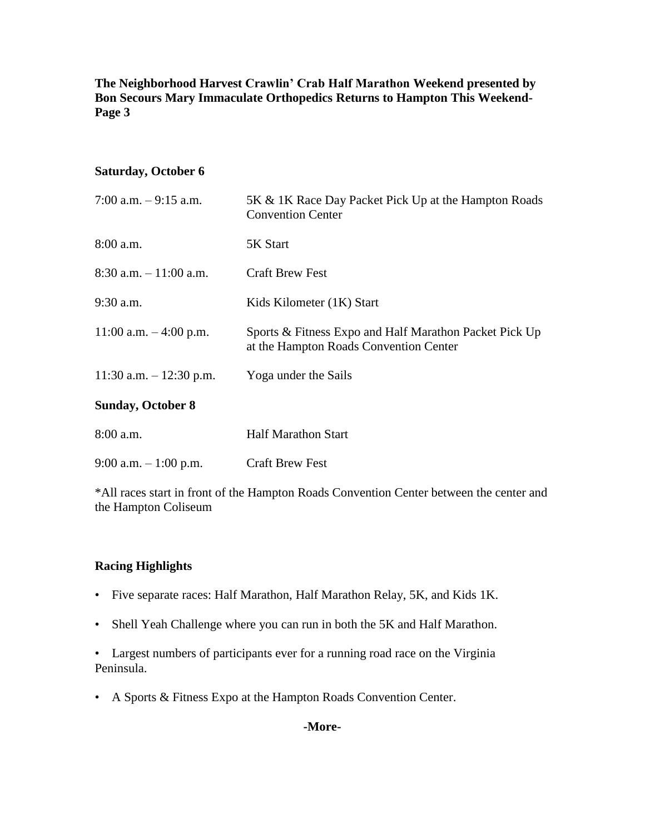### **Saturday, October 6**

| 7:00 a.m. $-9:15$ a.m.    | 5K & 1K Race Day Packet Pick Up at the Hampton Roads<br><b>Convention Center</b>                 |
|---------------------------|--------------------------------------------------------------------------------------------------|
| $8:00$ a.m.               | 5K Start                                                                                         |
| $8:30$ a.m. $-11:00$ a.m. | <b>Craft Brew Fest</b>                                                                           |
| $9:30$ a.m.               | Kids Kilometer (1K) Start                                                                        |
| 11:00 a.m. $-4:00$ p.m.   | Sports & Fitness Expo and Half Marathon Packet Pick Up<br>at the Hampton Roads Convention Center |
| 11:30 a.m. $- 12:30$ p.m. | Yoga under the Sails                                                                             |
| <b>Sunday, October 8</b>  |                                                                                                  |
| 8:00 a.m.                 | <b>Half Marathon Start</b>                                                                       |
| 9:00 a.m. $-1:00$ p.m.    | <b>Craft Brew Fest</b>                                                                           |
|                           |                                                                                                  |

\*All races start in front of the Hampton Roads Convention Center between the center and the Hampton Coliseum

### **Racing Highlights**

- Five separate races: Half Marathon, Half Marathon Relay, 5K, and Kids 1K.
- Shell Yeah Challenge where you can run in both the 5K and Half Marathon.

• Largest numbers of participants ever for a running road race on the Virginia Peninsula.

• A Sports & Fitness Expo at the Hampton Roads Convention Center.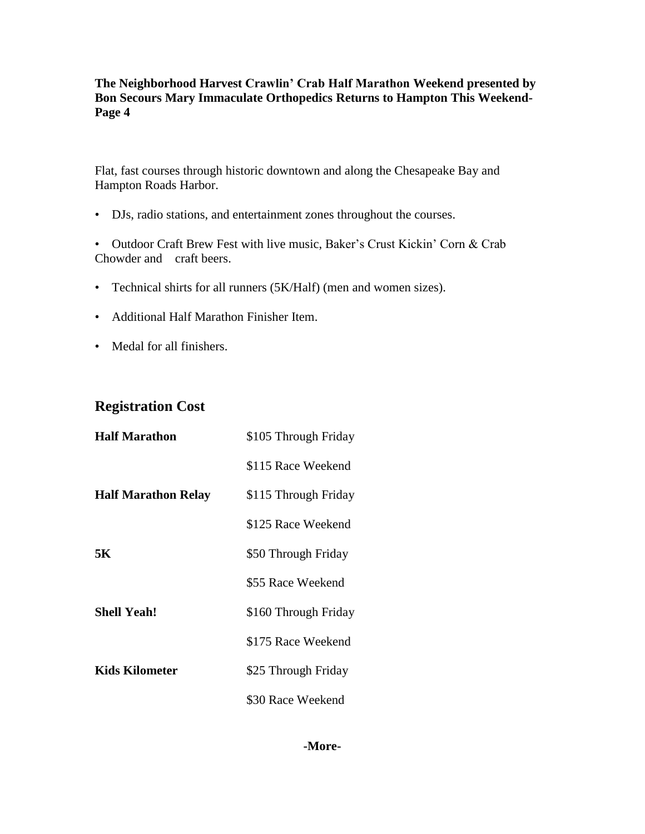Flat, fast courses through historic downtown and along the Chesapeake Bay and Hampton Roads Harbor.

• DJs, radio stations, and entertainment zones throughout the courses.

• Outdoor Craft Brew Fest with live music, Baker's Crust Kickin' Corn & Crab Chowder and craft beers.

- Technical shirts for all runners (5K/Half) (men and women sizes).
- Additional Half Marathon Finisher Item.
- Medal for all finishers.

## **Registration Cost**

| <b>Half Marathon</b>       | \$105 Through Friday |
|----------------------------|----------------------|
|                            | \$115 Race Weekend   |
| <b>Half Marathon Relay</b> | \$115 Through Friday |
|                            | \$125 Race Weekend   |
| 5Κ.                        | \$50 Through Friday  |
|                            | \$55 Race Weekend    |
| <b>Shell Yeah!</b>         | \$160 Through Friday |
|                            | \$175 Race Weekend   |
| Kids Kilometer             | \$25 Through Friday  |
|                            | \$30 Race Weekend    |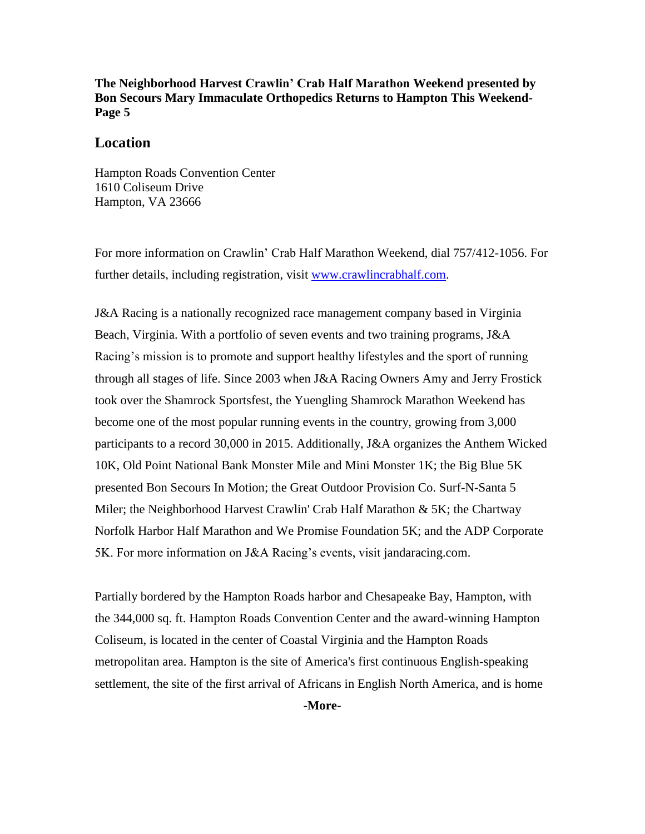#### **Location**

Hampton Roads Convention Center 1610 Coliseum Drive Hampton, VA 23666

For more information on Crawlin' Crab Half Marathon Weekend, dial 757/412-1056. For further details, including registration, visit [www.crawlincrabhalf.com.](http://www.crawlincrabhalf.com/)

J&A Racing is a nationally recognized race management company based in Virginia Beach, Virginia. With a portfolio of seven events and two training programs, J&A Racing's mission is to promote and support healthy lifestyles and the sport of running through all stages of life. Since 2003 when J&A Racing Owners Amy and Jerry Frostick took over the Shamrock Sportsfest, the Yuengling Shamrock Marathon Weekend has become one of the most popular running events in the country, growing from 3,000 participants to a record 30,000 in 2015. Additionally, J&A organizes the Anthem Wicked 10K, Old Point National Bank Monster Mile and Mini Monster 1K; the Big Blue 5K presented Bon Secours In Motion; the Great Outdoor Provision Co. Surf-N-Santa 5 Miler; the Neighborhood Harvest Crawlin' Crab Half Marathon & 5K; the Chartway Norfolk Harbor Half Marathon and We Promise Foundation 5K; and the ADP Corporate 5K. For more information on J&A Racing's events, visit [jandaracing.com.](http://www.jandaracing.com/)

Partially bordered by the Hampton Roads harbor and Chesapeake Bay, Hampton, with the 344,000 sq. ft. Hampton Roads Convention Center and the award-winning Hampton Coliseum, is located in the center of Coastal Virginia and the Hampton Roads metropolitan area. Hampton is the site of America's first continuous English-speaking settlement, the site of the first arrival of Africans in English North America, and is home